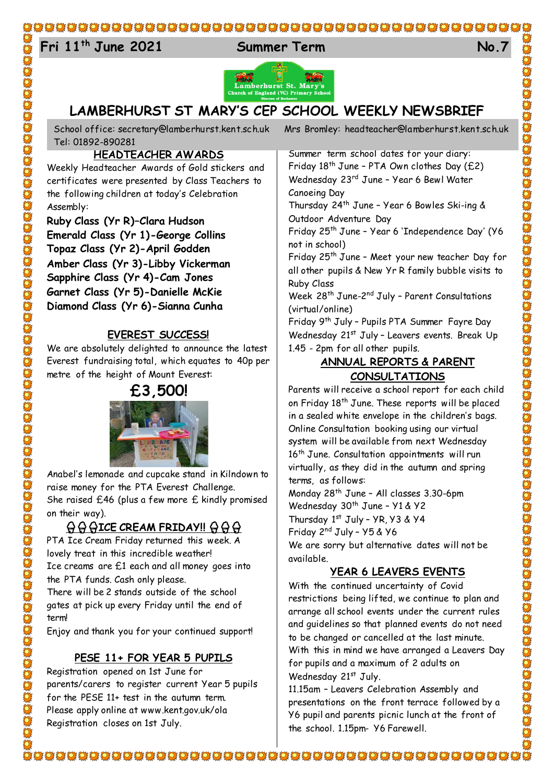### 

# 24 **Fri 11th June 2021 Summer Term No.7**





ower a strong to the strong to the strong to the strong to the strong to the strong the strong the strong to t



# **LAMBERHURST ST MARY'S CEP SCHOOL WEEKLY NEWSBRIEF**

Tel: 01892-890281

**HEADTEACHER AWARDS**

Weekly Headteacher Awards of Gold stickers and certificates were presented by Class Teachers to the following children at today's Celebration Assembly:

**Ruby Class (Yr R)–Clara Hudson Emerald Class (Yr 1)-George Collins Topaz Class (Yr 2)-April Godden Amber Class (Yr 3)-Libby Vickerman Sapphire Class (Yr 4)-Cam Jones Garnet Class (Yr 5)-Danielle McKie Diamond Class (Yr 6)-Sianna Cunha**

#### **EVEREST SUCCESS!**

We are absolutely delighted to announce the latest Everest fundraising total, which equates to 40p per metre of the height of Mount Everest:

**£3,500!**



Anabel's lemonade and cupcake stand in Kilndown to raise money for the PTA Everest Challenge. She raised £46 (plus a few more £ kindly promised on their way).

# $\overrightarrow{P}$  $\overrightarrow{P}$  $\overrightarrow{Q}$   $\overrightarrow{C}$   $\overrightarrow{C}$   $\overrightarrow{C}$   $\overrightarrow{C}$   $\overrightarrow{C}$   $\overrightarrow{C}$   $\overrightarrow{C}$   $\overrightarrow{C}$   $\overrightarrow{C}$   $\overrightarrow{C}$   $\overrightarrow{C}$   $\overrightarrow{C}$   $\overrightarrow{C}$   $\overrightarrow{C}$   $\overrightarrow{C}$   $\overrightarrow{C}$   $\overrightarrow{C}$   $\overrightarrow{C}$   $\overrightarrow{C}$   $\overrightarrow{C}$   $\overrightarrow{C}$   $\overrightarrow{C}$

PTA Ice Cream Friday returned this week. A lovely treat in this incredible weather! Ice creams are £1 each and all money goes into the PTA funds. Cash only please.

There will be 2 stands outside of the school gates at pick up every Friday until the end of term!

Enjoy and thank you for your continued support!

#### **PESE 11+ FOR YEAR 5 PUPILS**

Registration opened on 1st June for parents/carers to register current Year 5 pupils for the PESE 11+ test in the autumn term. Please apply online at www.kent.gov.uk/ola Registration closes on 1st July.

School office: [secretary@lamberhurst.kent.sch.uk](mailto:secretary@lamberhurst.kent.sch.uk) Mrs Bromley: headteacher@lamberhurst.kent.sch.uk

Summer term school dates for your diary: Friday  $18^{th}$  June - PTA Own clothes Day (£2) Wednesday 23rd June – Year 6 Bewl Water Canoeing Day Thursday 24th June – Year 6 Bowles Ski-ing & Outdoor Adventure Day Friday 25th June – Year 6 'Independence Day' (Y6 not in school) Friday 25 th June – Meet your new teacher Day for all other pupils & New Yr R family bubble visits to Ruby Class Week 28<sup>th</sup> June-2<sup>nd</sup> July - Parent Consultations (virtual/online)

Friday 9th July – Pupils PTA Summer Fayre Day Wednesday 21<sup>st</sup> July - Leavers events. Break Up 1.45 - 2pm for all other pupils.

#### **ANNUAL REPORTS & PARENT CONSULTATIONS**

Parents will receive a school report for each child on Friday 18<sup>th</sup> June. These reports will be placed in a sealed white envelope in the children's bags. Online Consultation booking using our virtual system will be available from next Wednesday 16<sup>th</sup> June. Consultation appointments will run virtually, as they did in the autumn and spring terms, as follows:

Monday 28th June – All classes 3.30-6pm Wednesday 30<sup>th</sup> June - Y1 & Y2 Thursday  $1<sup>st</sup>$  July - YR, Y3 & Y4 Friday 2nd July – Y5 & Y6

We are sorry but alternative dates will not be available.

#### **YEAR 6 LEAVERS EVENTS**

With the continued uncertainty of Covid restrictions being lifted, we continue to plan and arrange all school events under the current rules and guidelines so that planned events do not need to be changed or cancelled at the last minute. With this in mind we have arranged a Leavers Day for pupils and a maximum of 2 adults on Wednesday 21st July.

11.15am – Leavers Celebration Assembly and presentations on the front terrace followed by a Y6 pupil and parents picnic lunch at the front of the school. 1.15pm- Y6 Farewell.